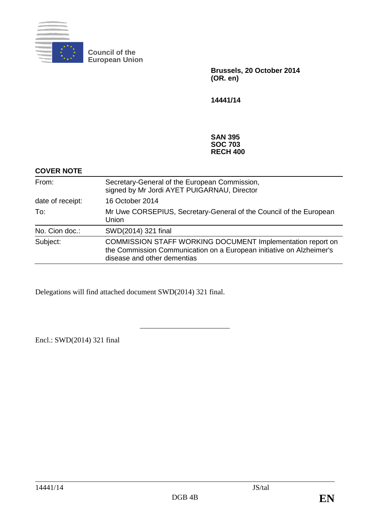

**Council of the European Union**

> **Brussels, 20 October 2014 (OR. en)**

**14441/14**

#### **SAN 395 SOC 703 RECH 400**

| <b>COVER NOTE</b> |                                                                                                                                                                   |
|-------------------|-------------------------------------------------------------------------------------------------------------------------------------------------------------------|
| From:             | Secretary-General of the European Commission,<br>signed by Mr Jordi AYET PUIGARNAU, Director                                                                      |
| date of receipt:  | 16 October 2014                                                                                                                                                   |
| To:               | Mr Uwe CORSEPIUS, Secretary-General of the Council of the European<br>Union                                                                                       |
| No. Cion doc.:    | SWD(2014) 321 final                                                                                                                                               |
| Subject:          | COMMISSION STAFF WORKING DOCUMENT Implementation report on<br>the Commission Communication on a European initiative on Alzheimer's<br>disease and other dementias |

Delegations will find attached document SWD(2014) 321 final.

Encl.: SWD(2014) 321 final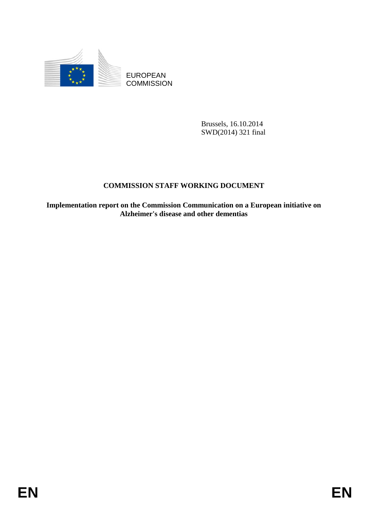

EUROPEAN **COMMISSION** 

> Brussels, 16.10.2014 SWD(2014) 321 final

# **COMMISSION STAFF WORKING DOCUMENT**

**Implementation report on the Commission Communication on a European initiative on Alzheimer's disease and other dementias**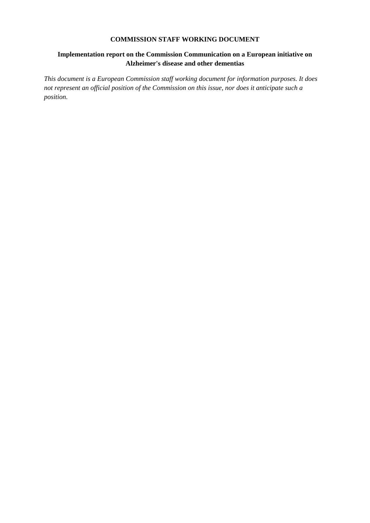#### **COMMISSION STAFF WORKING DOCUMENT**

### **Implementation report on the Commission Communication on a European initiative on Alzheimer's disease and other dementias**

*This document is a European Commission staff working document for information purposes. It does not represent an official position of the Commission on this issue, nor does it anticipate such a position.*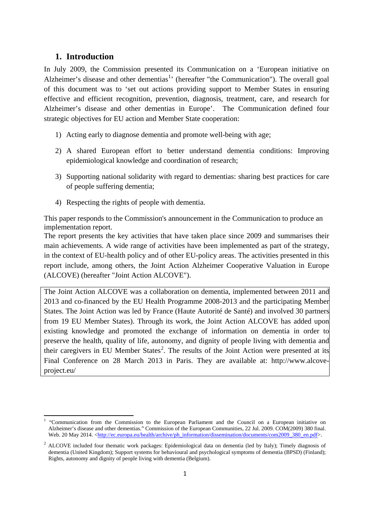## **1. Introduction**

In July 2009, the Commission presented its Communication on a 'European initiative on Alzheimer's disease and other dementias<sup>[1](#page-3-0)</sup> (hereafter "the Communication"). The overall goal of this document was to 'set out actions providing support to Member States in ensuring effective and efficient recognition, prevention, diagnosis, treatment, care, and research for Alzheimer's disease and other dementias in Europe'. The Communication defined four strategic objectives for EU action and Member State cooperation:

- 1) Acting early to diagnose dementia and promote well-being with age;
- 2) A shared European effort to better understand dementia conditions: Improving epidemiological knowledge and coordination of research;
- 3) Supporting national solidarity with regard to dementias: sharing best practices for care of people suffering dementia;
- 4) Respecting the rights of people with dementia.

This paper responds to the Commission's announcement in the Communication to produce an implementation report.

The report presents the key activities that have taken place since 2009 and summarises their main achievements. A wide range of activities have been implemented as part of the strategy, in the context of EU-health policy and of other EU-policy areas. The activities presented in this report include, among others, the Joint Action Alzheimer Cooperative Valuation in Europe (ALCOVE) (hereafter "Joint Action ALCOVE").

The Joint Action ALCOVE was a collaboration on dementia, implemented between 2011 and 2013 and co-financed by the EU Health Programme 2008-2013 and the participating Member States. The Joint Action was led by France (Haute Autorité de Santé) and involved 30 partners from 19 EU Member States). Through its work, the Joint Action ALCOVE has added upon existing knowledge and promoted the exchange of information on dementia in order to preserve the health, quality of life, autonomy, and dignity of people living with dementia and their caregivers in EU Member States<sup>[2](#page-3-1)</sup>. The results of the Joint Action were presented at its Final Conference on 28 March 2013 in Paris. They are available at: http://www.alcoveproject.eu/

<span id="page-3-0"></span><sup>&</sup>lt;sup>1</sup> "Communication from the Commission to the European Parliament and the Council on a European initiative on Alzheimer's disease and other dementias." Commission of the European Communities, 22 Jul. 2009. COM(2009) 380 final. Web. 20 May 2014. [<http://ec.europa.eu/health/archive/ph\\_information/dissemination/documents/com2009\\_380\\_en.pdf>](http://ec.europa.eu/health/archive/ph_information/dissemination/documents/com2009_380_en.pdf).  $\overline{a}$ 

<span id="page-3-1"></span><sup>&</sup>lt;sup>2</sup> ALCOVE included four thematic work packages: Epidemiological data on dementia (led by Italy); Timely diagnosis of dementia (United Kingdom); Support systems for behavioural and psychological symptoms of dementia (BPSD) (Finland); Rights, autonomy and dignity of people living with dementia (Belgium).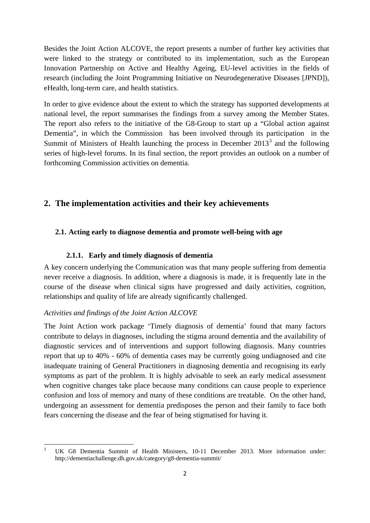Besides the Joint Action ALCOVE, the report presents a number of further key activities that were linked to the strategy or contributed to its implementation, such as the European Innovation Partnership on Active and Healthy Ageing, EU-level activities in the fields of research (including the Joint Programming Initiative on Neurodegenerative Diseases [JPND]), eHealth, long-term care, and health statistics.

In order to give evidence about the extent to which the strategy has supported developments at national level, the report summarises the findings from a survey among the Member States. The report also refers to the initiative of the G8-Group to start up a "Global action against Dementia", in which the Commission has been involved through its participation in the Summit of Ministers of Health launching the process in December  $2013<sup>3</sup>$  $2013<sup>3</sup>$  $2013<sup>3</sup>$  and the following series of high-level forums. In its final section, the report provides an outlook on a number of forthcoming Commission activities on dementia.

## **2. The implementation activities and their key achievements**

## **2.1. Acting early to diagnose dementia and promote well-being with age**

## **2.1.1. Early and timely diagnosis of dementia**

A key concern underlying the Communication was that many people suffering from dementia never receive a diagnosis. In addition, where a diagnosis is made, it is frequently late in the course of the disease when clinical signs have progressed and daily activities, cognition, relationships and quality of life are already significantly challenged.

## *Activities and findings of the Joint Action ALCOVE*

The Joint Action work package 'Timely diagnosis of dementia' found that many factors contribute to delays in diagnoses, including the stigma around dementia and the availability of diagnostic services and of interventions and support following diagnosis. Many countries report that up to 40% - 60% of dementia cases may be currently going undiagnosed and cite inadequate training of General Practitioners in diagnosing dementia and recognising its early symptoms as part of the problem. It is highly advisable to seek an early medical assessment when cognitive changes take place because many conditions can cause people to experience confusion and loss of memory and many of these conditions are treatable. On the other hand, undergoing an assessment for dementia predisposes the person and their family to face both fears concerning the disease and the fear of being stigmatised for having it.

<span id="page-4-0"></span><sup>3</sup> UK G8 Dementia Summit of Health Ministers, 10-11 December 2013. More information under: http://dementiachallenge.dh.gov.uk/category/g8-dementia-summit/ **.**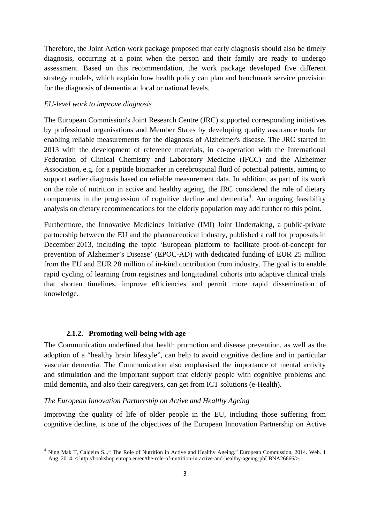Therefore, the Joint Action work package proposed that early diagnosis should also be timely diagnosis, occurring at a point when the person and their family are ready to undergo assessment. Based on this recommendation, the work package developed five different strategy models, which explain how health policy can plan and benchmark service provision for the diagnosis of dementia at local or national levels.

#### *EU-level work to improve diagnosis*

The European Commission's Joint Research Centre (JRC) supported corresponding initiatives by professional organisations and Member States by developing quality assurance tools for enabling reliable measurements for the diagnosis of Alzheimer's disease. The JRC started in 2013 with the development of reference materials, in co-operation with the International Federation of Clinical Chemistry and Laboratory Medicine (IFCC) and the Alzheimer Association, e.g. for a peptide biomarker in cerebrospinal fluid of potential patients, aiming to support earlier diagnosis based on reliable measurement data. In addition, as part of its work on the role of nutrition in active and healthy ageing, the JRC considered the role of dietary components in the progression of cognitive decline and dementia<sup>[4](#page-5-0)</sup>. An ongoing feasibility analysis on dietary recommendations for the elderly population may add further to this point.

Furthermore, the Innovative Medicines Initiative (IMI) Joint Undertaking, a public-private partnership between the EU and the pharmaceutical industry, published a call for proposals in December 2013, including the topic 'European platform to facilitate proof-of-concept for prevention of Alzheimer's Disease' (EPOC-AD) with dedicated funding of EUR 25 million from the EU and EUR 28 million of in-kind contribution from industry. The goal is to enable rapid cycling of learning from registries and longitudinal cohorts into adaptive clinical trials that shorten timelines, improve efficiencies and permit more rapid dissemination of knowledge.

#### **2.1.2. Promoting well-being with age**

**.** 

The Communication underlined that health promotion and disease prevention, as well as the adoption of a "healthy brain lifestyle", can help to avoid cognitive decline and in particular vascular dementia. The Communication also emphasised the importance of mental activity and stimulation and the important support that elderly people with cognitive problems and mild dementia, and also their caregivers, can get from ICT solutions (e-Health).

#### *The European Innovation Partnership on Active and Healthy Ageing*

Improving the quality of life of older people in the EU, including those suffering from cognitive decline, is one of the objectives of the European Innovation Partnership on Active

<span id="page-5-0"></span><sup>&</sup>lt;sup>4</sup> Ning Mak T, Caldeira S.,." The Role of Nutrition in Active and Healthy Ageing." European Commission, 2014. Web. 1 Aug. 2014. < http://bookshop.europa.eu/en/the-role-of-nutrition-in-active-and-healthy-ageing-pbLBNA26666/>.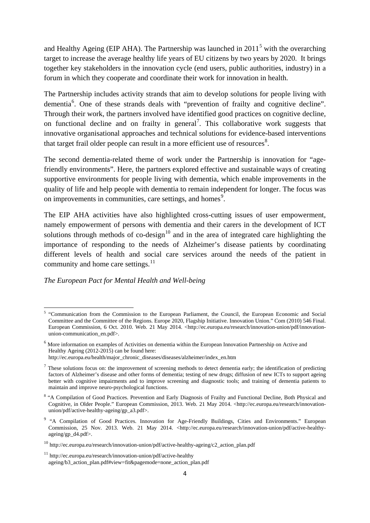and Healthy Ageing (EIP AHA). The Partnership was launched in  $2011<sup>5</sup>$  $2011<sup>5</sup>$  $2011<sup>5</sup>$  with the overarching target to increase the average healthy life years of EU citizens by two years by 2020. It brings together key stakeholders in the innovation cycle (end users, public authorities, industry) in a forum in which they cooperate and coordinate their work for innovation in health.

The Partnership includes activity strands that aim to develop solutions for people living with dementia<sup>[6](#page-6-1)</sup>. One of these strands deals with "prevention of frailty and cognitive decline". Through their work, the partners involved have identified good practices on cognitive decline, on functional decline and on frailty in general<sup>[7](#page-6-2)</sup>. This collaborative work suggests that innovative organisational approaches and technical solutions for evidence-based interventions that target frail older people can result in a more efficient use of resources $8$ .

The second dementia-related theme of work under the Partnership is innovation for "agefriendly environments". Here, the partners explored effective and sustainable ways of creating supportive environments for people living with dementia, which enable improvements in the quality of life and help people with dementia to remain independent for longer. The focus was on improvements in communities, care settings, and homes<sup>[9](#page-6-4)</sup>.

The EIP AHA activities have also highlighted cross-cutting issues of user empowerment, namely empowerment of persons with dementia and their carers in the development of ICT solutions through methods of co-design<sup>[10](#page-6-5)</sup> and in the area of integrated care highlighting the importance of responding to the needs of Alzheimer's disease patients by coordinating different levels of health and social care services around the needs of the patient in community and home care settings.<sup>[11](#page-6-6)</sup>

#### *The European Pact for Mental Health and Well-being*

<span id="page-6-0"></span><sup>5</sup> "Communication from the Commission to the European Parliament, the Council, the European Economic and Social Committee and the Committee of the Regions. Europe 2020, Flagship Initiative. Innovation Union." Com (2010) 546 Final. European Commission, 6 Oct. 2010. Web. 21 May 2014. <http://ec.europa.eu/research/innovation-union/pdf/innovationunion-communication\_en.pdf>.

<span id="page-6-1"></span><sup>6</sup> More information on examples of Activities on dementia within the European Innovation Partnership on Active and Healthy Ageing (2012-2015) can be found here: http://ec.europa.eu/health/major\_chronic\_diseases/diseases/alzheimer/index\_en.htm

<span id="page-6-2"></span> $<sup>7</sup>$  These solutions focus on: the improvement of screening methods to detect dementia early; the identification of predicting</sup> factors of Alzheimer's disease and other forms of dementia; testing of new drugs; diffusion of new ICTs to support ageing better with cognitive impairments and to improve screening and diagnostic tools; and training of dementia patients to maintain and improve neuro-psychological functions.

<span id="page-6-3"></span><sup>&</sup>lt;sup>8</sup> "A Compilation of Good Practices. Prevention and Early Diagnosis of Frailty and Functional Decline, Both Physical and Cognitive, in Older People." European Commission, 2013. Web. 21 May 2014. <http://ec.europa.eu/research/innovationunion/pdf/active-healthy-ageing/gp\_a3.pdf>.

<span id="page-6-4"></span><sup>&</sup>lt;sup>9</sup> "A Compilation of Good Practices. Innovation for Age-Friendly Buildings, Cities and Environments." European Commission, 25 Nov. 2013. Web. 21 May 2014. <http://ec.europa.eu/research/innovation-union/pdf/active-healthyageing/gp\_d4.pdf>.

<span id="page-6-5"></span><sup>10</sup> http://ec.europa.eu/research/innovation-union/pdf/active-healthy-ageing/c2\_action\_plan.pdf

<span id="page-6-6"></span> $11$  http://ec.europa.eu/research/innovation-union/pdf/active-healthy ageing/b3\_action\_plan.pdf#view=fit&pagemode=none\_action\_plan.pdf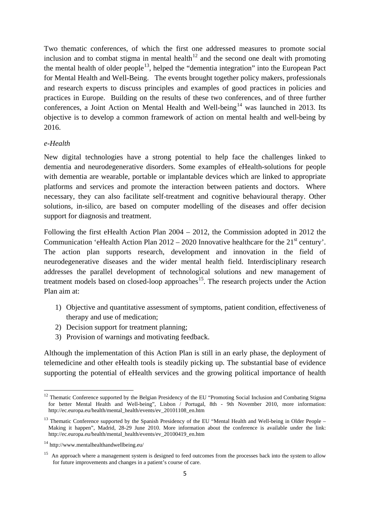Two thematic conferences, of which the first one addressed measures to promote social inclusion and to combat stigma in mental health<sup>[12](#page-7-0)</sup> and the second one dealt with promoting the mental health of older people<sup>[13](#page-7-1)</sup>, helped the "dementia integration" into the European Pact for Mental Health and Well-Being. The events brought together policy makers, professionals and research experts to discuss principles and examples of good practices in policies and practices in Europe. Building on the results of these two conferences, and of three further conferences, a Joint Action on Mental Health and Well-being<sup>[14](#page-7-2)</sup> was launched in 2013. Its objective is to develop a common framework of action on mental health and well-being by 2016.

#### *e-Health*

New digital technologies have a strong potential to help face the challenges linked to dementia and neurodegenerative disorders. Some examples of eHealth-solutions for people with dementia are wearable, portable or implantable devices which are linked to appropriate platforms and services and promote the interaction between patients and doctors. Where necessary, they can also facilitate self-treatment and cognitive behavioural therapy. Other solutions, in-silico, are based on computer modelling of the diseases and offer decision support for diagnosis and treatment.

Following the first eHealth Action Plan 2004 – 2012, the Commission adopted in 2012 the Communication 'eHealth Action Plan  $2012 - 2020$  Innovative healthcare for the  $21<sup>st</sup>$  century'. The action plan supports research, development and innovation in the field of neurodegenerative diseases and the wider mental health field. Interdisciplinary research addresses the parallel development of technological solutions and new management of treatment models based on closed-loop approaches<sup>15</sup>. The research projects under the Action Plan aim at:

- 1) Objective and quantitative assessment of symptoms, patient condition, effectiveness of therapy and use of medication;
- 2) Decision support for treatment planning;
- 3) Provision of warnings and motivating feedback.

Although the implementation of this Action Plan is still in an early phase, the deployment of telemedicine and other eHealth tools is steadily picking up. The substantial base of evidence supporting the potential of eHealth services and the growing political importance of health

 $\overline{a}$ 

<span id="page-7-0"></span><sup>&</sup>lt;sup>12</sup> Thematic Conference supported by the Belgian Presidency of the EU "Promoting Social Inclusion and Combating Stigma for better Mental Health and Well-being", Lisbon / Portugal, 8th - 9th November 2010, more information: [http://ec.europa.eu/health/mental\\_health/events/ev\\_20101108\\_en.htm](http://ec.europa.eu/health/mental_health/events/ev_20101108_en.htm)

<span id="page-7-1"></span><sup>&</sup>lt;sup>13</sup> Thematic Conference supported by the Spanish Presidency of the EU "Mental Health and Well-being in Older People – Making it happen", Madrid, 28-29 June 2010. More information about the conference is available under the link: http://ec.europa.eu/health/mental\_health/events/ev\_20100419\_en.htm

<span id="page-7-2"></span><sup>14</sup> http://www.mentalhealthandwellbeing.eu/

<span id="page-7-3"></span><sup>&</sup>lt;sup>15</sup> An approach where a management system is designed to feed outcomes from the processes back into the system to allow for future improvements and changes in a patient's course of care.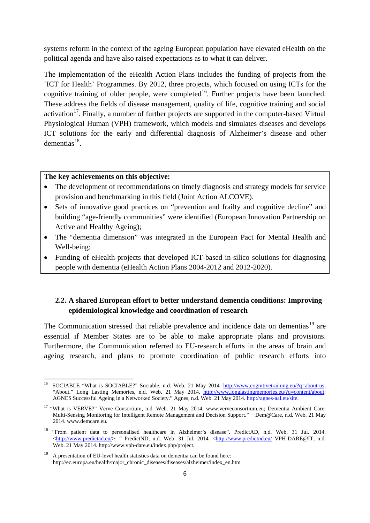systems reform in the context of the ageing European population have elevated eHealth on the political agenda and have also raised expectations as to what it can deliver.

The implementation of the eHealth Action Plans includes the funding of projects from the 'ICT for Health' Programmes. By 2012, three projects, which focused on using ICTs for the cognitive training of older people, were completed<sup>16</sup>. Further projects have been launched. These address the fields of disease management, quality of life, cognitive training and social activation<sup>17</sup>. Finally, a number of further projects are supported in the computer-based Virtual Physiological Human (VPH) framework, which models and simulates diseases and develops ICT solutions for the early and differential diagnosis of Alzheimer's disease and other  $d$ ementias<sup>[18](#page-8-2)</sup>.

### **The key achievements on this objective:**

 $\overline{a}$ 

- The development of recommendations on timely diagnosis and strategy models for service provision and benchmarking in this field (Joint Action ALCOVE).
- Sets of innovative good practices on "prevention and frailty and cognitive decline" and building "age-friendly communities" were identified (European Innovation Partnership on Active and Healthy Ageing);
- The "dementia dimension" was integrated in the European Pact for Mental Health and Well-being;
- Funding of eHealth-projects that developed ICT-based in-silico solutions for diagnosing people with dementia (eHealth Action Plans 2004-2012 and 2012-2020).

## **2.2. A shared European effort to better understand dementia conditions: Improving epidemiological knowledge and coordination of research**

The Communication stressed that reliable prevalence and incidence data on dementias<sup>[19](#page-8-3)</sup> are essential if Member States are to be able to make appropriate plans and provisions. Furthermore, the Communication referred to EU-research efforts in the areas of brain and ageing research, and plans to promote coordination of public research efforts into

<span id="page-8-0"></span><sup>&</sup>lt;sup>16</sup> SOCIABLE "What is SOCIABLE?" Sociable, n.d. Web. 21 May 2014. [http://www.cognitivetraining.eu/?q=about-us;](http://www.cognitivetraining.eu/?q=about-us) "About." Long Lasting Memories, n.d. Web. 21 May 2014. [http://www.longlastingmemories.eu/?q=content/about;](http://www.longlastingmemories.eu/?q=content/about) AGNES Successful Ageing in a Networked Society." Agnes, n.d. Web. 21 May 2014. [http://agnes-aal.eu/site.](http://agnes-aal.eu/site)

<span id="page-8-1"></span><sup>&</sup>lt;sup>17</sup> "What is VERVE?" Verve Consortium, n.d. Web. 21 May 2014. [www.verveconsortium.eu;](http://www.verveconsortium.eu/) Dementia Ambient Care: Multi-Sensing Monitoring for Intelligent Remote Management and Decision Support." Dem@Care, n.d. Web. 21 May 2014[. www.demcare.eu.](http://www.demcare.eu/)

<span id="page-8-2"></span><sup>18</sup> "From patient data to personalised healthcare in Alzheimer's disease". PredictAD, n.d. Web. 31 Jul. 2014. [<http://www.predictad.eu/>](http://www.predictad.eu/); " PredictND, n.d. Web. 31 Jul. 2014. [<http://www.predictnd.eu/](http://www.predictnd.eu/) VPH-DARE@IT, n.d. Web. 21 May 2014. http://www.vph-dare.eu/index.php/project.

<span id="page-8-3"></span><sup>&</sup>lt;sup>19</sup> A presentation of EU-level health statistics data on dementia can be found here: http://ec.europa.eu/health/major\_chronic\_diseases/diseases/alzheimer/index\_en.htm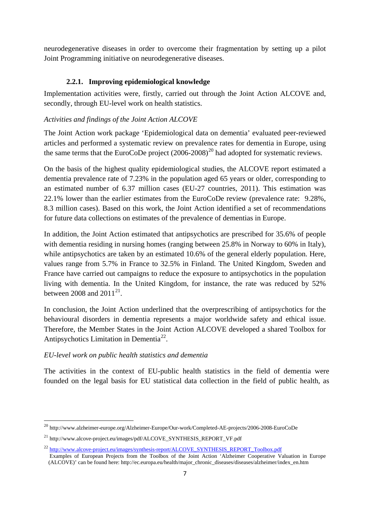neurodegenerative diseases in order to overcome their fragmentation by setting up a pilot Joint Programming initiative on neurodegenerative diseases.

### **2.2.1. Improving epidemiological knowledge**

Implementation activities were, firstly, carried out through the Joint Action ALCOVE and, secondly, through EU-level work on health statistics.

### *Activities and findings of the Joint Action ALCOVE*

The Joint Action work package 'Epidemiological data on dementia' evaluated peer-reviewed articles and performed a systematic review on prevalence rates for dementia in Europe, using the same terms that the EuroCoDe project  $(2006-2008)^{20}$  $(2006-2008)^{20}$  $(2006-2008)^{20}$  had adopted for systematic reviews.

On the basis of the highest quality epidemiological studies, the ALCOVE report estimated a dementia prevalence rate of 7.23% in the population aged 65 years or older, corresponding to an estimated number of 6.37 million cases (EU-27 countries, 2011). This estimation was 22.1% lower than the earlier estimates from the EuroCoDe review (prevalence rate: 9.28%, 8.3 million cases). Based on this work, the Joint Action identified a set of recommendations for future data collections on estimates of the prevalence of dementias in Europe.

In addition, the Joint Action estimated that antipsychotics are prescribed for 35.6% of people with dementia residing in nursing homes (ranging between 25.8% in Norway to 60% in Italy), while antipsychotics are taken by an estimated 10.6% of the general elderly population. Here, values range from 5.7% in France to 32.5% in Finland. The United Kingdom, Sweden and France have carried out campaigns to reduce the exposure to antipsychotics in the population living with dementia. In the United Kingdom, for instance, the rate was reduced by 52% between 2008 and  $2011^{21}$ .

In conclusion, the Joint Action underlined that the overprescribing of antipsychotics for the behavioural disorders in dementia represents a major worldwide safety and ethical issue. Therefore, the Member States in the Joint Action ALCOVE developed a shared Toolbox for Antipsychotics Limitation in Dementia<sup>[22](#page-9-2)</sup>.

#### *EU-level work on public health statistics and dementia*

**.** 

The activities in the context of EU-public health statistics in the field of dementia were founded on the legal basis for EU statistical data collection in the field of public health, as

<span id="page-9-0"></span><sup>&</sup>lt;sup>20</sup> http://www.alzheimer-europe.org/Alzheimer-Europe/Our-work/Completed-AE-projects/2006-2008-EuroCoDe

<span id="page-9-1"></span><sup>21</sup> http://www.alcove-project.eu/images/pdf/ALCOVE\_SYNTHESIS\_REPORT\_VF.pdf

<span id="page-9-2"></span><sup>&</sup>lt;sup>22</sup> [http://www.alcove-project.eu/images/synthesis-report/ALCOVE\\_SYNTHESIS\\_REPORT\\_Toolbox.pdf](http://www.alcove-project.eu/images/synthesis-report/ALCOVE_SYNTHESIS_REPORT_Toolbox.pdf) Examples of European Projects from the Toolbox of the Joint Action 'Alzheimer Cooperative Valuation in Europe (ALCOVE)' can be found here: http://ec.europa.eu/health/major\_chronic\_diseases/diseases/alzheimer/index\_en.htm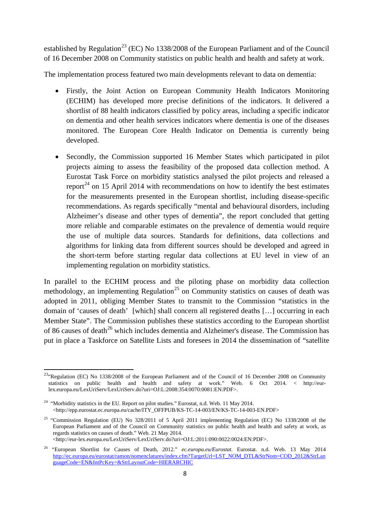established by Regulation<sup>[23](#page-10-0)</sup> (EC) No 1338/2008 of the European Parliament and of the Council of 16 December 2008 on Community statistics on public health and health and safety at work.

The implementation process featured two main developments relevant to data on dementia:

- Firstly, the Joint Action on European Community Health Indicators Monitoring (ECHIM) has developed more precise definitions of the indicators. It delivered a shortlist of 88 health indicators classified by policy areas, including a specific indicator on dementia and other health services indicators where dementia is one of the diseases monitored. The European Core Health Indicator on Dementia is currently being developed.
- Secondly, the Commission supported 16 Member States which participated in pilot projects aiming to assess the feasibility of the proposed data collection method. A Eurostat Task Force on morbidity statistics analysed the pilot projects and released a report<sup>[24](#page-10-1)</sup> on 15 April 2014 with recommendations on how to identify the best estimates for the measurements presented in the European shortlist, including disease-specific recommendations. As regards specifically "mental and behavioural disorders, including Alzheimer's disease and other types of dementia", the report concluded that getting more reliable and comparable estimates on the prevalence of dementia would require the use of multiple data sources. Standards for definitions, data collections and algorithms for linking data from different sources should be developed and agreed in the short-term before starting regular data collections at EU level in view of an implementing regulation on morbidity statistics.

In parallel to the ECHIM process and the piloting phase on morbidity data collection methodology, an implementing Regulation<sup>[25](#page-10-2)</sup> on Community statistics on causes of death was adopted in 2011, obliging Member States to transmit to the Commission "statistics in the domain of 'causes of death' [which] shall concern all registered deaths […] occurring in each Member State". The Commission publishes these statistics according to the European shortlist of 86 causes of death<sup>[26](#page-10-3)</sup> which includes dementia and Alzheimer's disease. The Commission has put in place a Taskforce on Satellite Lists and foresees in 2014 the dissemination of "satellite

<span id="page-10-0"></span><sup>&</sup>lt;sup>23</sup>"Regulation (EC) No 1338/2008 of the European Parliament and of the Council of 16 December 2008 on Community statistics on public health and health and safety at work." Web. 6 Oct 2014. < http://eurlex.europa.eu/LexUriServ/LexUriServ.do?uri=OJ:L:2008:354:0070:0081:EN:PDF>.

<span id="page-10-1"></span><sup>&</sup>lt;sup>24</sup> "Morbidity statistics in the EU. Report on pilot studies." Eurostat, n.d. Web. 11 May 2014. <http://epp.eurostat.ec.europa.eu/cache/ITY\_OFFPUB/KS-TC-14-003/EN/KS-TC-14-003-EN.PDF>

<span id="page-10-2"></span><sup>&</sup>lt;sup>25</sup> "Commission Regulation (EU) No 328/2011 of 5 April 2011 implementing Regulation (EC) No 1338/2008 of the European Parliament and of the Council on Community statistics on public health and health and safety at work, as regards statistics on causes of death." Web. 21 May 2014. <http://eur-lex.europa.eu/LexUriServ/LexUriServ.do?uri=OJ:L:2011:090:0022:0024:EN:PDF>.

<span id="page-10-3"></span><sup>26</sup> "European Shortlist for Causes of Death, 2012." *ec.europa.eu/Eurostat.* Eurostat. n.d. Web. 13 May 2014 [http://ec.europa.eu/eurostat/ramon/nomenclatures/index.cfm?TargetUrl=LST\\_NOM\\_DTL&StrNom=COD\\_2012&StrLan](http://ec.europa.eu/eurostat/ramon/nomenclatures/index.cfm?TargetUrl=LST_NOM_DTL&StrNom=COD_2012&StrLanguageCode=EN&IntPcKey=&StrLayoutCode=HIERARCHIC) [guageCode=EN&IntPcKey=&StrLayoutCode=HIERARCHIC](http://ec.europa.eu/eurostat/ramon/nomenclatures/index.cfm?TargetUrl=LST_NOM_DTL&StrNom=COD_2012&StrLanguageCode=EN&IntPcKey=&StrLayoutCode=HIERARCHIC)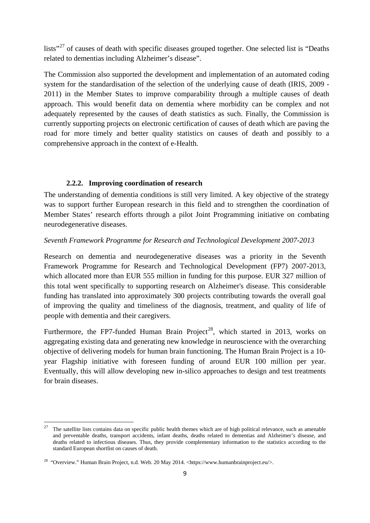lists<sup>"[27](#page-11-0)</sup> of causes of death with specific diseases grouped together. One selected list is "Deaths" related to dementias including Alzheimer's disease".

The Commission also supported the development and implementation of an automated coding system for the standardisation of the selection of the underlying cause of death (IRIS, 2009 - 2011) in the Member States to improve comparability through a multiple causes of death approach. This would benefit data on dementia where morbidity can be complex and not adequately represented by the causes of death statistics as such. Finally, the Commission is currently supporting projects on electronic certification of causes of death which are paving the road for more timely and better quality statistics on causes of death and possibly to a comprehensive approach in the context of e-Health.

### **2.2.2. Improving coordination of research**

The understanding of dementia conditions is still very limited. A key objective of the strategy was to support further European research in this field and to strengthen the coordination of Member States' research efforts through a pilot Joint Programming initiative on combating neurodegenerative diseases.

### *Seventh Framework Programme for Research and Technological Development 2007-2013*

Research on dementia and neurodegenerative diseases was a priority in the Seventh Framework Programme for Research and Technological Development (FP7) 2007-2013, which allocated more than EUR 555 million in funding for this purpose. EUR 327 million of this total went specifically to supporting research on Alzheimer's disease. This considerable funding has translated into approximately 300 projects contributing towards the overall goal of improving the quality and timeliness of the diagnosis, treatment, and quality of life of people with dementia and their caregivers.

Furthermore, the FP7-funded Human Brain Project<sup>28</sup>, which started in 2013, works on aggregating existing data and generating new knowledge in neuroscience with the overarching objective of delivering models for human brain functioning. The Human Brain Project is a 10 year Flagship initiative with foreseen funding of around EUR 100 million per year. Eventually, this will allow developing new in-silico approaches to design and test treatments for brain diseases.

<span id="page-11-0"></span><sup>27</sup> The satellite lists contains data on specific public health themes which are of high political relevance, such as amenable and preventable deaths, transport accidents, infant deaths, deaths related to dementias and Alzheimer's disease, and deaths related to infectious diseases. Thus, they provide complementary information to the statistics according to the standard European shortlist on causes of death.

<span id="page-11-1"></span><sup>&</sup>lt;sup>28</sup> "Overview." Human Brain Project, n.d. Web. 20 May 2014. <https://www.humanbrainproject.eu/>.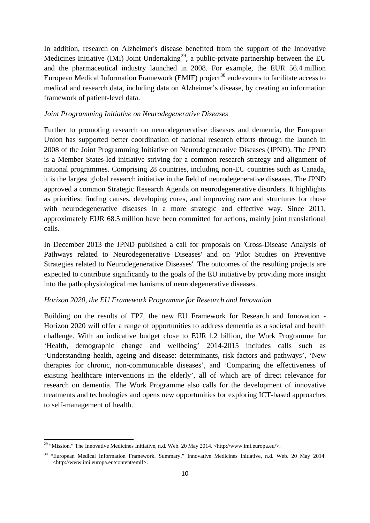In addition, research on Alzheimer's disease benefited from the support of the Innovative Medicines Initiative (IMI) Joint Undertaking<sup>[29](#page-12-0)</sup>, a public-private partnership between the EU and the pharmaceutical industry launched in 2008. For example, the EUR 56.4 million European Medical Information Framework (EMIF) project<sup>[30](#page-12-1)</sup> endeavours to facilitate access to medical and research data, including data on Alzheimer's disease, by creating an information framework of patient-level data.

#### *Joint Programming Initiative on Neurodegenerative Diseases*

Further to promoting research on neurodegenerative diseases and dementia, the European Union has supported better coordination of national research efforts through the launch in 2008 of the Joint Programming Initiative on Neurodegenerative Diseases (JPND). The JPND is a Member States-led initiative striving for a common research strategy and alignment of national programmes. Comprising 28 countries, including non-EU countries such as Canada, it is the largest global research initiative in the field of neurodegenerative diseases. The JPND approved a common Strategic Research Agenda on neurodegenerative disorders. It highlights as priorities: finding causes, developing cures, and improving care and structures for those with neurodegenerative diseases in a more strategic and effective way. Since 2011, approximately EUR 68.5 million have been committed for actions, mainly joint translational calls.

In December 2013 the JPND published a call for proposals on 'Cross-Disease Analysis of Pathways related to Neurodegenerative Diseases' and on 'Pilot Studies on Preventive Strategies related to Neurodegenerative Diseases'. The outcomes of the resulting projects are expected to contribute significantly to the goals of the EU initiative by providing more insight into the pathophysiological mechanisms of neurodegenerative diseases.

#### *Horizon 2020, the EU Framework Programme for Research and Innovation*

Building on the results of FP7, the new EU Framework for Research and Innovation - Horizon 2020 will offer a range of opportunities to address dementia as a societal and health challenge. With an indicative budget close to EUR 1.2 billion, the Work Programme for 'Health, demographic change and wellbeing' 2014-2015 includes calls such as 'Understanding health, ageing and disease: determinants, risk factors and pathways', 'New therapies for chronic, non-communicable diseases', and 'Comparing the effectiveness of existing healthcare interventions in the elderly', all of which are of direct relevance for research on dementia. The Work Programme also calls for the development of innovative treatments and technologies and opens new opportunities for exploring ICT-based approaches to self-management of health.

1

<span id="page-12-0"></span><sup>&</sup>lt;sup>29</sup> "Mission." The Innovative Medicines Initiative, n.d. Web. 20 May 2014. <http://www.imi.europa.eu/>.

<span id="page-12-1"></span><sup>&</sup>lt;sup>30</sup> "European Medical Information Framework. Summary." Innovative Medicines Initiative, n.d. Web. 20 May 2014. <http://www.imi.europa.eu/content/emif>.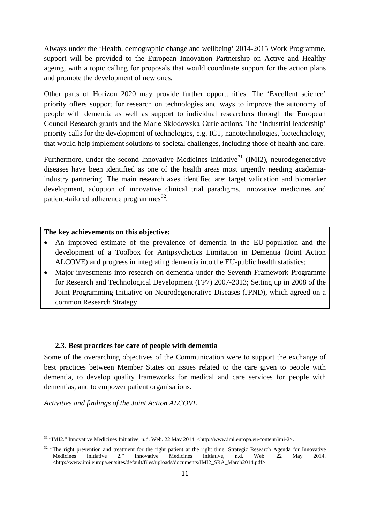Always under the 'Health, demographic change and wellbeing' 2014-2015 Work Programme, support will be provided to the European Innovation Partnership on Active and Healthy ageing, with a topic calling for proposals that would coordinate support for the action plans and promote the development of new ones.

Other parts of Horizon 2020 may provide further opportunities. The 'Excellent science' priority offers support for research on technologies and ways to improve the autonomy of people with dementia as well as support to individual researchers through the European Council Research grants and the Marie Skłodowska-Curie actions. The 'Industrial leadership' priority calls for the development of technologies, e.g. ICT, nanotechnologies, biotechnology, that would help implement solutions to societal challenges, including those of health and care.

Furthermore, under the second Innovative Medicines Initiative<sup>[31](#page-13-0)</sup> (IMI2), neurodegenerative diseases have been identified as one of the health areas most urgently needing academiaindustry partnering. The main research axes identified are: target validation and biomarker development, adoption of innovative clinical trial paradigms, innovative medicines and patient-tailored adherence programmes $^{32}$  $^{32}$  $^{32}$ .

#### **The key achievements on this objective:**

- An improved estimate of the prevalence of dementia in the EU-population and the development of a Toolbox for Antipsychotics Limitation in Dementia (Joint Action ALCOVE) and progress in integrating dementia into the EU-public health statistics;
- Major investments into research on dementia under the Seventh Framework Programme for Research and Technological Development (FP7) 2007-2013; Setting up in 2008 of the Joint Programming Initiative on Neurodegenerative Diseases (JPND), which agreed on a common Research Strategy.

#### **2.3. Best practices for care of people with dementia**

Some of the overarching objectives of the Communication were to support the exchange of best practices between Member States on issues related to the care given to people with dementia, to develop quality frameworks for medical and care services for people with dementias, and to empower patient organisations.

*Activities and findings of the Joint Action ALCOVE*

<span id="page-13-0"></span><sup>31</sup> "IMI2." Innovative Medicines Initiative, n.d. Web. 22 May 2014. <http://www.imi.europa.eu/content/imi-2>.

<span id="page-13-1"></span><sup>&</sup>lt;sup>32</sup> "The right prevention and treatment for the right patient at the right time. Strategic Research Agenda for Innovative Medicines Initiative 2." Innovative Medicines Initiative, n.d. Web. 22 May 2014. <http://www.imi.europa.eu/sites/default/files/uploads/documents/IMI2\_SRA\_March2014.pdf>.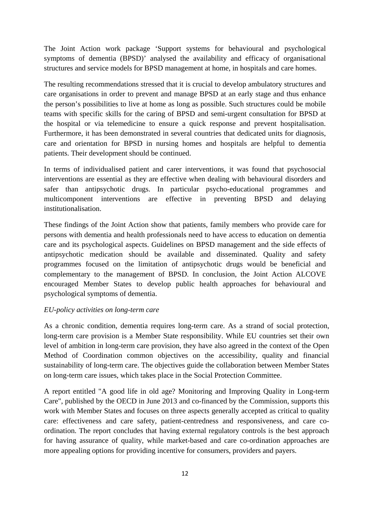The Joint Action work package 'Support systems for behavioural and psychological symptoms of dementia (BPSD)' analysed the availability and efficacy of organisational structures and service models for BPSD management at home, in hospitals and care homes.

The resulting recommendations stressed that it is crucial to develop ambulatory structures and care organisations in order to prevent and manage BPSD at an early stage and thus enhance the person's possibilities to live at home as long as possible. Such structures could be mobile teams with specific skills for the caring of BPSD and semi-urgent consultation for BPSD at the hospital or via telemedicine to ensure a quick response and prevent hospitalisation. Furthermore, it has been demonstrated in several countries that dedicated units for diagnosis, care and orientation for BPSD in nursing homes and hospitals are helpful to dementia patients. Their development should be continued.

In terms of individualised patient and carer interventions, it was found that psychosocial interventions are essential as they are effective when dealing with behavioural disorders and safer than antipsychotic drugs. In particular psycho-educational programmes and multicomponent interventions are effective in preventing BPSD and delaying institutionalisation.

These findings of the Joint Action show that patients, family members who provide care for persons with dementia and health professionals need to have access to education on dementia care and its psychological aspects. Guidelines on BPSD management and the side effects of antipsychotic medication should be available and disseminated. Quality and safety programmes focused on the limitation of antipsychotic drugs would be beneficial and complementary to the management of BPSD. In conclusion, the Joint Action ALCOVE encouraged Member States to develop public health approaches for behavioural and psychological symptoms of dementia.

#### *EU-policy activities on long-term care*

As a chronic condition, dementia requires long-term care. As a strand of social protection, long-term care provision is a Member State responsibility. While EU countries set their own level of ambition in long-term care provision, they have also agreed in the context of the Open Method of Coordination common objectives on the accessibility, quality and financial sustainability of long-term care. The objectives guide the collaboration between Member States on long-term care issues, which takes place in the Social Protection Committee.

A report entitled "A good life in old age? Monitoring and Improving Quality in Long-term Care", published by the OECD in June 2013 and co-financed by the Commission, supports this work with Member States and focuses on three aspects generally accepted as critical to quality care: effectiveness and care safety, patient-centredness and responsiveness, and care coordination. The report concludes that having external regulatory controls is the best approach for having assurance of quality, while market-based and care co-ordination approaches are more appealing options for providing incentive for consumers, providers and payers.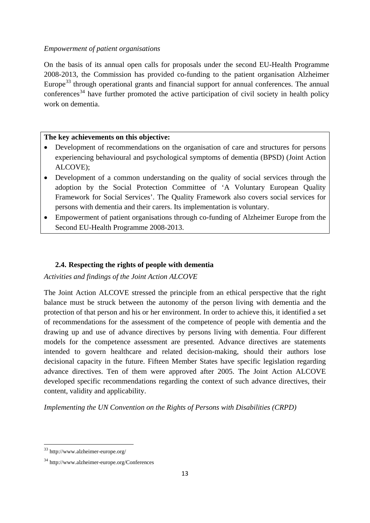#### *Empowerment of patient organisations*

On the basis of its annual open calls for proposals under the second EU-Health Programme 2008-2013, the Commission has provided co-funding to the patient organisation Alzheimer Europe<sup>[33](#page-15-0)</sup> through operational grants and financial support for annual conferences. The annual  $\arctan \frac{1}{2}$  have further promoted the active participation of civil society in health policy work on dementia.

#### **The key achievements on this objective:**

- Development of recommendations on the organisation of care and structures for persons experiencing behavioural and psychological symptoms of dementia (BPSD) (Joint Action ALCOVE);
- Development of a common understanding on the quality of social services through the adoption by the Social Protection Committee of 'A Voluntary European Quality Framework for Social Services'. The Quality Framework also covers social services for persons with dementia and their carers. Its implementation is voluntary.
- Empowerment of patient organisations through co-funding of Alzheimer Europe from the Second EU-Health Programme 2008-2013.

### **2.4. Respecting the rights of people with dementia**

*Activities and findings of the Joint Action ALCOVE*

The Joint Action ALCOVE stressed the principle from an ethical perspective that the right balance must be struck between the autonomy of the person living with dementia and the protection of that person and his or her environment. In order to achieve this, it identified a set of recommendations for the assessment of the competence of people with dementia and the drawing up and use of advance directives by persons living with dementia. Four different models for the competence assessment are presented. Advance directives are statements intended to govern healthcare and related decision-making, should their authors lose decisional capacity in the future. Fifteen Member States have specific legislation regarding advance directives. Ten of them were approved after 2005. The Joint Action ALCOVE developed specific recommendations regarding the context of such advance directives, their content, validity and applicability.

*Implementing the UN Convention on the Rights of Persons with Disabilities (CRPD)*

<span id="page-15-0"></span><sup>33</sup> http://www.alzheimer-europe.org/

<span id="page-15-1"></span><sup>34</sup> http://www.alzheimer-europe.org/Conferences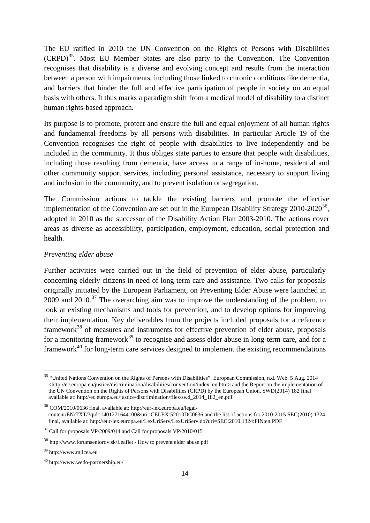The EU ratified in 2010 the UN Convention on the Rights of Persons with Disabilities  $(CRPD)^{35}$ . Most EU Member States are also party to the Convention. The Convention recognises that disability is a diverse and evolving concept and results from the interaction between a person with impairments, including those linked to chronic conditions like dementia, and barriers that hinder the full and effective participation of people in society on an equal basis with others. It thus marks a paradigm shift from a medical model of disability to a distinct human rights-based approach.

Its purpose is to promote, protect and ensure the full and equal enjoyment of all human rights and fundamental freedoms by all persons with disabilities. In particular Article 19 of the Convention recognises the right of people with disabilities to live independently and be included in the community. It thus obliges state parties to ensure that people with disabilities, including those resulting from dementia, have access to a range of in-home, residential and other community support services, including personal assistance, necessary to support living and inclusion in the community, and to prevent isolation or segregation.

The Commission actions to tackle the existing barriers and promote the effective implementation of the Convention are set out in the European Disability Strategy  $2010$ - $2020^{36}$ , adopted in 2010 as the successor of the Disability Action Plan 2003-2010. The actions cover areas as diverse as accessibility, participation, employment, education, social protection and health.

### *Preventing elder abuse*

Further activities were carried out in the field of prevention of elder abuse, particularly concerning elderly citizens in need of long-term care and assistance. Two calls for proposals originally initiated by the European Parliament, on Preventing Elder Abuse were launched in 2009 and  $2010$ .<sup>[37](#page-16-2)</sup> The overarching aim was to improve the understanding of the problem, to look at existing mechanisms and tools for prevention, and to develop options for improving their implementation. Key deliverables from the projects included proposals for a reference framework<sup>[38](#page-16-3)</sup> of measures and instruments for effective prevention of elder abuse, proposals for a monitoring framework<sup>[39](#page-16-4)</sup> to recognise and assess elder abuse in long-term care, and for a framework $40$  for long-term care services designed to implement the existing recommendations

1

<span id="page-16-0"></span><sup>&</sup>lt;sup>35</sup> "United Nations Convention on the Rights of Persons with Disabilities". European Commission, n.d. Web. 5 Aug. 2014 [<http://ec.europa.eu/justice/discrimination/disabilities/convention/index\\_en.htm>](http://ec.europa.eu/justice/discrimination/disabilities/convention/index_en.htm) and the Report on the implementation of the UN Convention on the Rights of Persons with Disabilities (CRPD) by the European Union, SWD(2014) 182 final available at: [http://ec.europa.eu/justice/discrimination/files/swd\\_2014\\_182\\_en.pdf](http://ec.europa.eu/justice/discrimination/files/swd_2014_182_en.pdf)

<span id="page-16-1"></span><sup>36</sup> COM/2010/0636 final, available at[: http://eur-lex.europa.eu/legal](http://eur-lex.europa.eu/legal-content/EN/TXT/?qid=1401271644100&uri=CELEX:52010DC0636)[content/EN/TXT/?qid=1401271644100&uri=CELEX:52010DC0636](http://eur-lex.europa.eu/legal-content/EN/TXT/?qid=1401271644100&uri=CELEX:52010DC0636) and the list of actions for 2010-2015 SEC(2010) 1324 final, available at:<http://eur-lex.europa.eu/LexUriServ/LexUriServ.do?uri=SEC:2010:1324:FIN:en:PDF>

<span id="page-16-2"></span><sup>&</sup>lt;sup>37</sup> Call for proposals VP/2009/014 and Call for proposals VP/2010/015

<span id="page-16-3"></span><sup>38</sup> http://www.forumseniorov.sk/Leaflet - How to prevent elder abuse.pdf

<span id="page-16-4"></span><sup>39</sup> http://www.milcea.eu

<span id="page-16-5"></span><sup>40</sup> http://www.wedo-partnership.eu/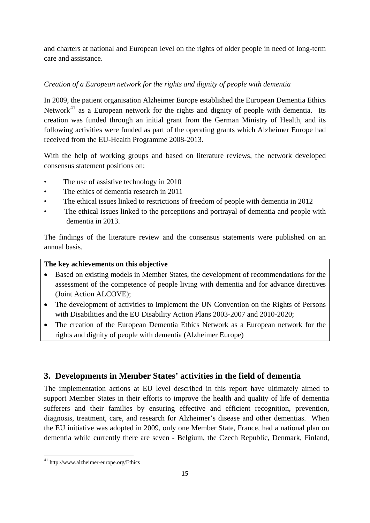and charters at national and European level on the rights of older people in need of long-term care and assistance.

## *Creation of a European network for the rights and dignity of people with dementia*

In 2009, the patient organisation Alzheimer Europe established the European Dementia Ethics Network<sup>[41](#page-17-0)</sup> as a European network for the rights and dignity of people with dementia. Its creation was funded through an initial grant from the German Ministry of Health, and its following activities were funded as part of the operating grants which Alzheimer Europe had received from the EU-Health Programme 2008-2013.

With the help of working groups and based on literature reviews, the network developed consensus statement positions on:

- The use of assistive technology in 2010
- The ethics of dementia research in 2011
- The ethical issues linked to restrictions of freedom of people with dementia in 2012
- The ethical issues linked to the perceptions and portrayal of dementia and people with dementia in 2013.

The findings of the literature review and the consensus statements were published on an annual basis.

### **The key achievements on this objective**

- Based on existing models in Member States, the development of recommendations for the assessment of the competence of people living with dementia and for advance directives (Joint Action ALCOVE);
- The development of activities to implement the UN Convention on the Rights of Persons with Disabilities and the EU Disability Action Plans 2003-2007 and 2010-2020;
- The creation of the European Dementia Ethics Network as a European network for the rights and dignity of people with dementia (Alzheimer Europe)

# **3. Developments in Member States' activities in the field of dementia**

The implementation actions at EU level described in this report have ultimately aimed to support Member States in their efforts to improve the health and quality of life of dementia sufferers and their families by ensuring effective and efficient recognition, prevention, diagnosis, treatment, care, and research for Alzheimer's disease and other dementias. When the EU initiative was adopted in 2009, only one Member State, France, had a national plan on dementia while currently there are seven - Belgium, the Czech Republic, Denmark, Finland,

 $\overline{a}$ 

<span id="page-17-0"></span><sup>41</sup> http://www.alzheimer-europe.org/Ethics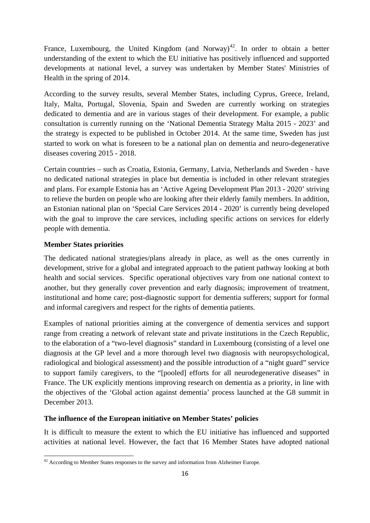France, Luxembourg, the United Kingdom (and Norway)<sup>[42](#page-18-0)</sup>. In order to obtain a better understanding of the extent to which the EU initiative has positively influenced and supported developments at national level, a survey was undertaken by Member States' Ministries of Health in the spring of 2014.

According to the survey results, several Member States, including Cyprus, Greece, Ireland, Italy, Malta, Portugal, Slovenia, Spain and Sweden are currently working on strategies dedicated to dementia and are in various stages of their development. For example, a public consultation is currently running on the 'National Dementia Strategy Malta 2015 - 2023' and the strategy is expected to be published in October 2014. At the same time, Sweden has just started to work on what is foreseen to be a national plan on dementia and neuro-degenerative diseases covering 2015 - 2018.

Certain countries – such as Croatia, Estonia, Germany, Latvia, Netherlands and Sweden - have no dedicated national strategies in place but dementia is included in other relevant strategies and plans. For example Estonia has an 'Active Ageing Development Plan 2013 - 2020' striving to relieve the burden on people who are looking after their elderly family members. In addition, an Estonian national plan on 'Special Care Services 2014 - 2020' is currently being developed with the goal to improve the care services, including specific actions on services for elderly people with dementia.

### **Member States priorities**

 $\overline{a}$ 

The dedicated national strategies/plans already in place, as well as the ones currently in development, strive for a global and integrated approach to the patient pathway looking at both health and social services. Specific operational objectives vary from one national context to another, but they generally cover prevention and early diagnosis; improvement of treatment, institutional and home care; post-diagnostic support for dementia sufferers; support for formal and informal caregivers and respect for the rights of dementia patients.

Examples of national priorities aiming at the convergence of dementia services and support range from creating a network of relevant state and private institutions in the Czech Republic, to the elaboration of a "two-level diagnosis" standard in Luxembourg (consisting of a level one diagnosis at the GP level and a more thorough level two diagnosis with neuropsychological, radiological and biological assessment) and the possible introduction of a "night guard" service to support family caregivers, to the "[pooled] efforts for all neurodegenerative diseases" in France. The UK explicitly mentions improving research on dementia as a priority, in line with the objectives of the 'Global action against dementia' process launched at the G8 summit in December 2013.

### **The influence of the European initiative on Member States' policies**

It is difficult to measure the extent to which the EU initiative has influenced and supported activities at national level. However, the fact that 16 Member States have adopted national

<span id="page-18-0"></span> $42$  According to Member States responses to the survey and information from Alzheimer Europe.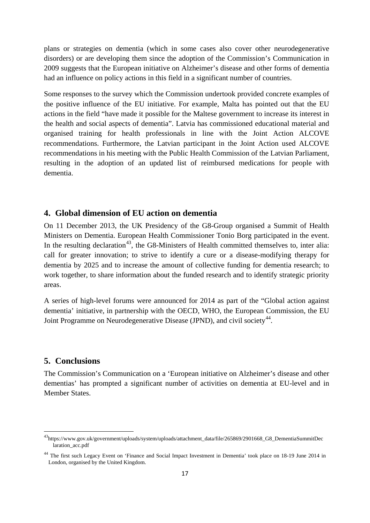plans or strategies on dementia (which in some cases also cover other neurodegenerative disorders) or are developing them since the adoption of the Commission's Communication in 2009 suggests that the European initiative on Alzheimer's disease and other forms of dementia had an influence on policy actions in this field in a significant number of countries.

Some responses to the survey which the Commission undertook provided concrete examples of the positive influence of the EU initiative. For example, Malta has pointed out that the EU actions in the field "have made it possible for the Maltese government to increase its interest in the health and social aspects of dementia". Latvia has commissioned educational material and organised training for health professionals in line with the Joint Action ALCOVE recommendations. Furthermore, the Latvian participant in the Joint Action used ALCOVE recommendations in his meeting with the Public Health Commission of the Latvian Parliament, resulting in the adoption of an updated list of reimbursed medications for people with dementia.

### **4. Global dimension of EU action on dementia**

On 11 December 2013, the UK Presidency of the G8-Group organised a Summit of Health Ministers on Dementia. European Health Commissioner Tonio Borg participated in the event. In the resulting declaration<sup>[43](#page-19-0)</sup>, the G8-Ministers of Health committed themselves to, inter alia: call for greater innovation; to strive to identify a cure or a disease-modifying therapy for dementia by 2025 and to increase the amount of collective funding for dementia research; to work together, to share information about the funded research and to identify strategic priority areas.

A series of high-level forums were announced for 2014 as part of the "Global action against dementia' initiative, in partnership with the OECD, WHO, the European Commission, the EU Joint Programme on Neurodegenerative Disease (JPND), and civil society<sup>44</sup>.

### **5. Conclusions**

**.** 

The Commission's Communication on a 'European initiative on Alzheimer's disease and other dementias' has prompted a significant number of activities on dementia at EU-level and in Member States.

<span id="page-19-0"></span><sup>43</sup>https://www.gov.uk/government/uploads/system/uploads/attachment\_data/file/265869/2901668\_G8\_DementiaSummitDec laration\_acc.pdf

<span id="page-19-1"></span><sup>&</sup>lt;sup>44</sup> The first such Legacy Event on 'Finance and Social Impact Investment in Dementia' took place on 18-19 June 2014 in London, organised by the United Kingdom.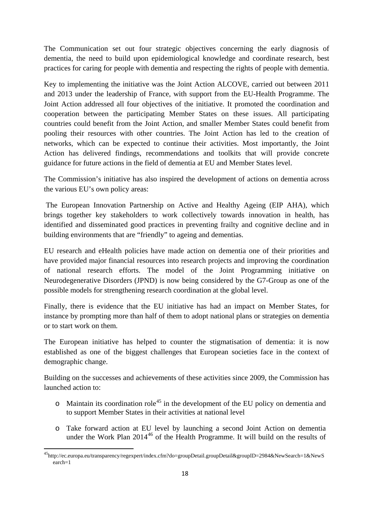The Communication set out four strategic objectives concerning the early diagnosis of dementia, the need to build upon epidemiological knowledge and coordinate research, best practices for caring for people with dementia and respecting the rights of people with dementia.

Key to implementing the initiative was the Joint Action ALCOVE, carried out between 2011 and 2013 under the leadership of France, with support from the EU-Health Programme. The Joint Action addressed all four objectives of the initiative. It promoted the coordination and cooperation between the participating Member States on these issues. All participating countries could benefit from the Joint Action, and smaller Member States could benefit from pooling their resources with other countries. The Joint Action has led to the creation of networks, which can be expected to continue their activities. Most importantly, the Joint Action has delivered findings, recommendations and toolkits that will provide concrete guidance for future actions in the field of dementia at EU and Member States level.

The Commission's initiative has also inspired the development of actions on dementia across the various EU's own policy areas:

The European Innovation Partnership on Active and Healthy Ageing (EIP AHA), which brings together key stakeholders to work collectively towards innovation in health, has identified and disseminated good practices in preventing frailty and cognitive decline and in building environments that are "friendly" to ageing and dementias.

EU research and eHealth policies have made action on dementia one of their priorities and have provided major financial resources into research projects and improving the coordination of national research efforts. The model of the Joint Programming initiative on Neurodegenerative Disorders (JPND) is now being considered by the G7-Group as one of the possible models for strengthening research coordination at the global level.

Finally, there is evidence that the EU initiative has had an impact on Member States, for instance by prompting more than half of them to adopt national plans or strategies on dementia or to start work on them.

The European initiative has helped to counter the stigmatisation of dementia: it is now established as one of the biggest challenges that European societies face in the context of demographic change.

<span id="page-20-1"></span>Building on the successes and achievements of these activities since 2009, the Commission has launched action to:

- $\circ$  Maintain its coordination role<sup>[45](#page-20-0)</sup> in the development of the EU policy on dementia and to support Member States in their activities at national level
- o Take forward action at EU level by launching a second Joint Action on dementia under the Work Plan 2014<sup>[46](#page-20-1)</sup> of the Health Programme. It will build on the results of

<span id="page-20-0"></span>[<sup>45</sup>http://ec.europa.eu/transparency/regexpert/index.cfm?do=groupDetail.groupDetail&groupID=2984&NewSearch=1&NewS](http://ec.europa.eu/transparency/regexpert/index.cfm?do=groupDetail.groupDetail&groupID=2984&NewSearch=1&NewSearch=1) [earch=1](http://ec.europa.eu/transparency/regexpert/index.cfm?do=groupDetail.groupDetail&groupID=2984&NewSearch=1&NewSearch=1)